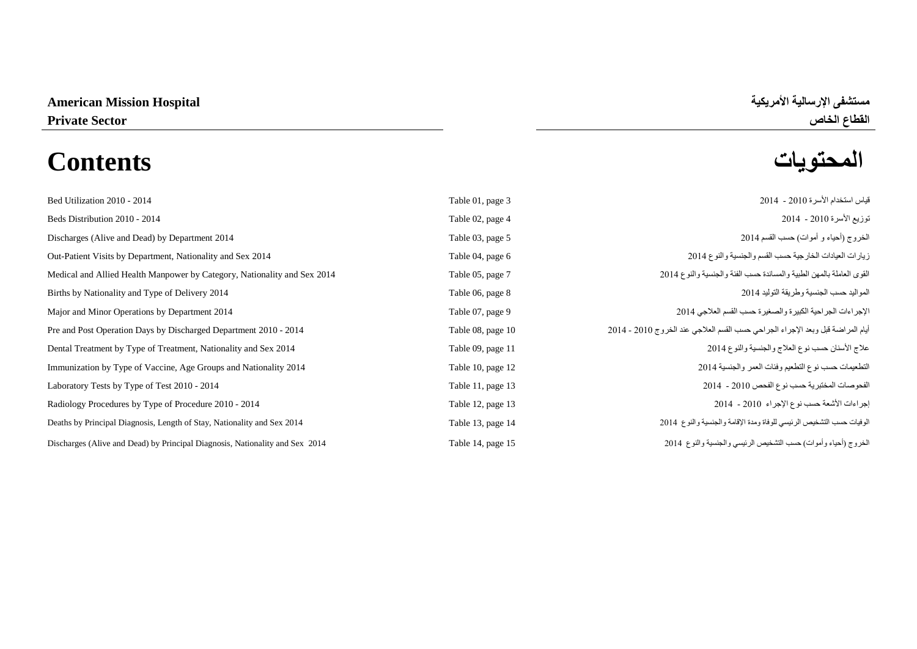# **المحتويات Contents**

| Bed Utilization 2010 - 2014                                                  | Table 01, page 3  | قياس استخدام الأسرة 2010 - 2014                                                |
|------------------------------------------------------------------------------|-------------------|--------------------------------------------------------------------------------|
| Beds Distribution 2010 - 2014                                                | Table 02, page 4  | توزيع الأسرة 2010 - 2014                                                       |
| Discharges (Alive and Dead) by Department 2014                               | Table 03, page 5  | الخروج (أحياء و أموات) حسب القسم 2014                                          |
| Out-Patient Visits by Department, Nationality and Sex 2014                   | Table 04, page 6  | زيارات العيادات الخارجية حسب القسم والجنسية والنوع 2014                        |
| Medical and Allied Health Manpower by Category, Nationality and Sex 2014     | Table 05, page 7  | القوى العاملة بالمهن الطبية والمساندة حسب الفئة والجنسية والنوع 2014           |
| Births by Nationality and Type of Delivery 2014                              | Table 06, page 8  | المواليد حسب الجنسية وطريقة التوليد 2014                                       |
| Major and Minor Operations by Department 2014                                | Table 07, page 9  | الإجراءات الجراحية الكبيرة والصغيرة حسب القسم العلاجي 2014                     |
| Pre and Post Operation Days by Discharged Department 2010 - 2014             | Table 08, page 10 | أيام المراضة قبل وبعد الإجراء الجراحي حسب القسم العلاجي عند الخروج 2010 - 2014 |
| Dental Treatment by Type of Treatment, Nationality and Sex 2014              | Table 09, page 11 | علاج الأسنان حسب نوع العلاج والجنسية والنوع 2014                               |
| Immunization by Type of Vaccine, Age Groups and Nationality 2014             | Table 10, page 12 | التطعيمات حسب نوع التطعيم وفئات العمر والجنسية 2014                            |
| Laboratory Tests by Type of Test 2010 - 2014                                 | Table 11, page 13 | الفحوصات المختبرية حسب نوع الفحص 2010 - 2014                                   |
| Radiology Procedures by Type of Procedure 2010 - 2014                        | Table 12, page 13 | إجراءات الأشعة حسب نوع الإجراء 2010 - 2014                                     |
| Deaths by Principal Diagnosis, Length of Stay, Nationality and Sex 2014      | Table 13, page 14 | الوفيات حسب التشخيص الرئيسي للوفاة ومدة الإقامة والجنسية والنوع 2014           |
| Discharges (Alive and Dead) by Principal Diagnosis, Nationality and Sex 2014 | Table 14, page 15 | الخروج (أحياء وأموات) حسب التشخيص الرئيسي والجنسية والنوع 2014                 |
|                                                                              |                   |                                                                                |

**القطاع الخاص Sector Private**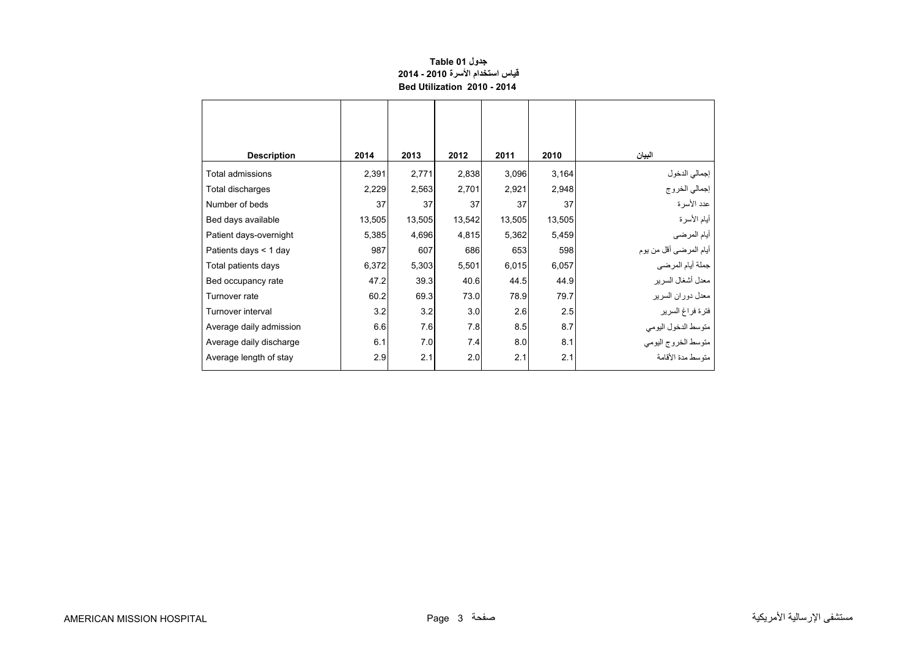# **جدول 01 Table قياس استخدام األسرة 2010 - 2014 Bed Utilization 2010 - 2014**

<span id="page-1-0"></span>

| <b>Description</b>      | 2014   | 2013   | 2012   | 2011   | 2010   | البيان                         |
|-------------------------|--------|--------|--------|--------|--------|--------------------------------|
| Total admissions        | 2,391  | 2,771  | 2,838  | 3,096  | 3,164  |                                |
| Total discharges        | 2,229  | 2,563  | 2,701  | 2,921  | 2,948  | إجمالي الدخول<br>إجمالي الخروج |
| Number of beds          | 37     | 37     | 37     | 37     | 37     | عدد الأسرة                     |
| Bed days available      | 13,505 | 13,505 | 13,542 | 13,505 | 13,505 | أيام الأسرة                    |
| Patient days-overnight  | 5,385  | 4,696  | 4,815  | 5,362  | 5,459  | أيام المرضى                    |
| Patients days < 1 day   | 987    | 607    | 686    | 653    | 598    | أيام المرضىي أقل من يوم        |
| Total patients days     | 6,372  | 5,303  | 5,501  | 6,015  | 6,057  | جملة أيام المرضي               |
| Bed occupancy rate      | 47.2   | 39.3   | 40.6   | 44.5   | 44.9   | معدل أشغال السرير              |
| Turnover rate           | 60.2   | 69.3   | 73.0   | 78.9   | 79.7   | معدل دوران السرير              |
| Turnover interval       | 3.2    | 3.2    | 3.0    | 2.6    | 2.5    | فترة فراغ السرير               |
| Average daily admission | 6.6    | 7.6    | 7.8    | 8.5    | 8.7    | متوسط الدخول اليومي            |
| Average daily discharge | 6.1    | 7.0    | 7.4    | 8.0    | 8.1    | متوسط الخروج اليومي            |
| Average length of stay  | 2.9    | 2.1    | 2.0    | 2.1    | 2.1    | منّه سط مدة الأقامة            |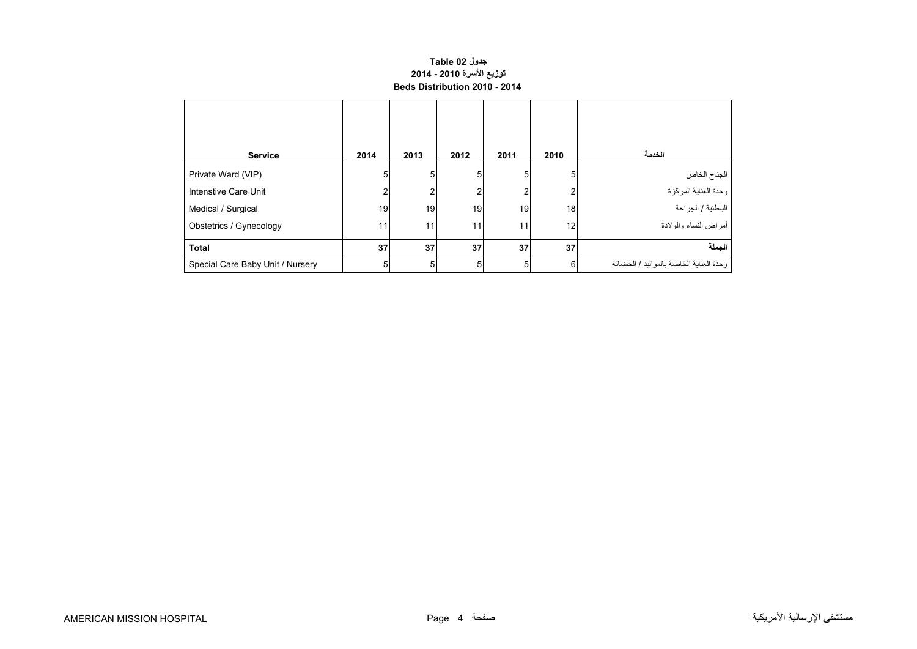### **جدول 02 Table توزيع األسرة 2010 - 2014 Beds Distribution 2010 - 2014**

<span id="page-2-0"></span>

| <b>Service</b>                   | 2014 | 2013 | 2012 | 2011 | 2010 | الخدمة                                   |
|----------------------------------|------|------|------|------|------|------------------------------------------|
| Private Ward (VIP)               | 5    | 5    | 5    | 5    | 5    | الجناح الخاص                             |
| Intenstive Care Unit             | ς    | າ    | 2    | 2    | 2    | وحدة العناية المركزة                     |
| Medical / Surgical               | 19   | 19   | 19   | 19   | 18   | الباطنية / الجراحة                       |
| Obstetrics / Gynecology          | 11   | 11   | 11   | 11   | 12   | أمراض النساء والولادة                    |
| <b>Total</b>                     | 37   | 37   | 37   | 37   | 37   | الحملة                                   |
| Special Care Baby Unit / Nursery | 5    | 5    | 5    | 5    | 6    | وحدة العناية الخاصة بالمو اليد / الحضانة |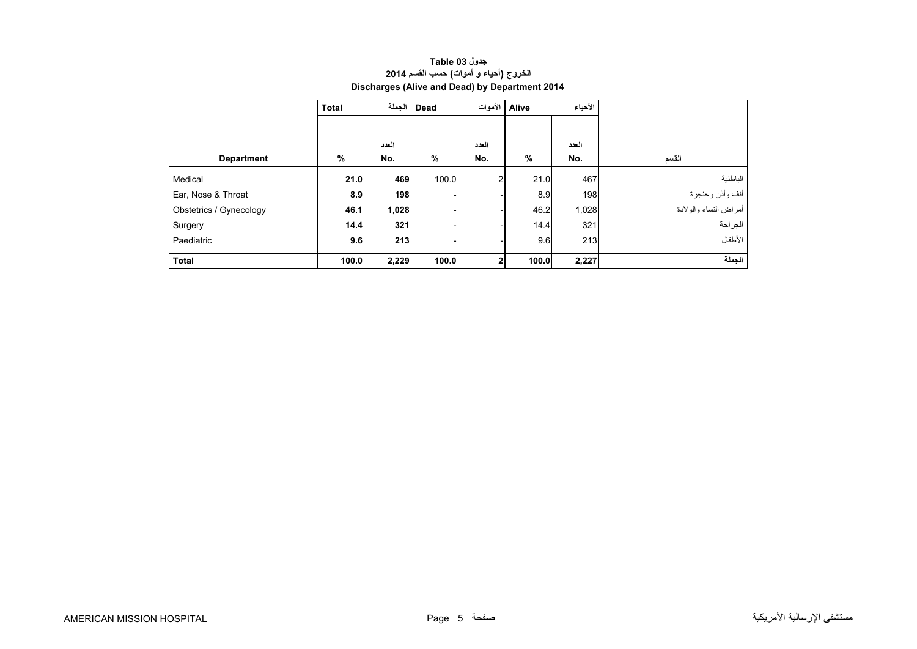| جدول Table 03                                  |  |  |  |  |  |  |  |
|------------------------------------------------|--|--|--|--|--|--|--|
| الخروج (أحياء و أموات) حسب القسم 2014          |  |  |  |  |  |  |  |
| Discharges (Alive and Dead) by Department 2014 |  |  |  |  |  |  |  |

<span id="page-3-0"></span>

|                         | <b>Total</b> | الحملة | <b>Dead</b> |                | الأحياء<br>Alive الأموات |       |                       |
|-------------------------|--------------|--------|-------------|----------------|--------------------------|-------|-----------------------|
|                         |              |        |             |                |                          |       |                       |
|                         |              | العدد  |             | العدد          |                          | العدد |                       |
| <b>Department</b>       | %            | No.    | %           | No.            | %                        | No.   | القسم                 |
| Medical                 | 21.0         | 469    | 100.0       | $\overline{2}$ | 21.0                     | 467   | الباطنية              |
| Ear, Nose & Throat      | 8.9          | 198    |             |                | 8.9                      | 198   | أنف وأذن وحنجرة       |
| Obstetrics / Gynecology | 46.1         | 1,028  |             |                | 46.2                     | 1,028 | أمراض النساء والولادة |
| Surgery                 | 14.4         | 321    |             |                | 14.4                     | 321   | الجراحة               |
| Paediatric              | 9.6          | 213    |             |                | 9.6                      | 213   | الأطفال               |
| <b>Total</b>            | 100.0        | 2,229  | 100.0       | 2              | 100.0                    | 2,227 | الجملة                |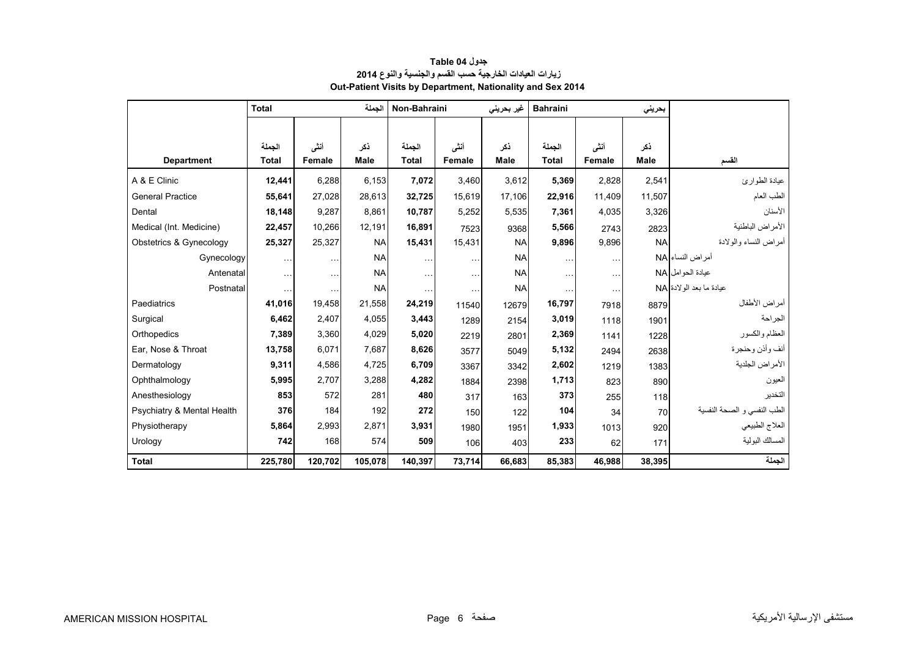<span id="page-4-0"></span>

|                            | <b>Total</b>           |                | الحملة             |                        | Non-Bahraini<br>غیر بحرینی |                    | <b>Bahraini</b>        |                | بحرينى             |                             |
|----------------------------|------------------------|----------------|--------------------|------------------------|----------------------------|--------------------|------------------------|----------------|--------------------|-----------------------------|
| <b>Department</b>          | الجملة<br><b>Total</b> | أنشى<br>Female | نكر<br><b>Male</b> | الحملة<br><b>Total</b> | أنشى<br>Female             | ذكر<br><b>Male</b> | الحملة<br><b>Total</b> | أنشى<br>Female | ذكر<br><b>Male</b> | القسم                       |
| A & E Clinic               | 12,441                 | 6,288          | 6,153              | 7,072                  | 3,460                      | 3,612              | 5,369                  | 2,828          | 2,541              | عيادة الطوارئ               |
| <b>General Practice</b>    | 55,641                 | 27,028         | 28,613             | 32,725                 | 15.619                     | 17,106             | 22,916                 | 11,409         | 11,507             | الطب العام                  |
| Dental                     | 18,148                 | 9,287          | 8,861              | 10,787                 | 5,252                      | 5,535              | 7,361                  | 4,035          | 3,326              | الأسنان                     |
| Medical (Int. Medicine)    | 22,457                 | 10,266         | 12,191             | 16,891                 | 7523                       | 9368               | 5,566                  | 2743           | 2823               | الأمراض الباطنية            |
| Obstetrics & Gynecology    | 25,327                 | 25,327         | <b>NA</b>          | 15,431                 | 15,431                     | <b>NA</b>          | 9,896                  | 9,896          | <b>NA</b>          | أمر اض النساء والو لادة     |
| Gynecology                 | $\cdots$               | $\ddotsc$      | <b>NA</b>          | $\cdots$               | $\ddotsc$                  | <b>NA</b>          | $\cdots$               | $\ddotsc$      |                    | أمراض النساء NA             |
| Antenatal                  | $\sim$ $\sim$          | $\sim$ $\sim$  | <b>NA</b>          | $\cdots$               | $\ddotsc$                  | <b>NA</b>          | $\cdots$               | $\cdots$       |                    | عبادة الحو امل NA           |
| Postnatal                  | $\ddotsc$              | $\ddotsc$      | <b>NA</b>          | .                      | $\ddotsc$                  | <b>NA</b>          |                        | $\ddotsc$      |                    | عيادة ما بعد الو لادة NA    |
| Paediatrics                | 41,016                 | 19,458         | 21,558             | 24,219                 | 11540                      | 12679              | 16,797                 | 7918           | 8879               | أمراض الأطفال               |
| Surgical                   | 6,462                  | 2,407          | 4,055              | 3,443                  | 1289                       | 2154               | 3,019                  | 1118           | 1901               | الجراحة                     |
| Orthopedics                | 7,389                  | 3,360          | 4,029              | 5,020                  | 2219                       | 2801               | 2,369                  | 1141           | 1228               | العظام والكسور              |
| Ear, Nose & Throat         | 13,758                 | 6,071          | 7.687              | 8,626                  | 3577                       | 5049               | 5,132                  | 2494           | 2638               | أنف وأذن وحنجرة             |
| Dermatology                | 9,311                  | 4,586          | 4,725              | 6,709                  | 3367                       | 3342               | 2,602                  | 1219           | 1383               | الأمراض الجلدية             |
| Ophthalmology              | 5,995                  | 2,707          | 3,288              | 4,282                  | 1884                       | 2398               | 1,713                  | 823            | 890                | العيون                      |
| Anesthesiology             | 853                    | 572            | 281                | 480                    | 317                        | 163                | 373                    | 255            | 118                | التخدير                     |
| Psychiatry & Mental Health | 376                    | 184            | 192                | 272                    | 150                        | 122                | 104                    | 34             | 70                 | الطب النفسي و الصحة النفسية |
| Physiotherapy              | 5,864                  | 2.993          | 2.871              | 3,931                  | 1980                       | 1951               | 1,933                  | 1013           | 920                | العلاج الطبيعي              |
| Urology                    | 742                    | 168            | 574                | 509                    | 106                        | 403                | 233                    | 62             | 171                | المسالك البولية             |
| <b>Total</b>               | 225,780                | 120,702        | 105,078            | 140,397                | 73,714                     | 66,683             | 85,383                 | 46,988         | 38,395             | الجملة                      |

# **جدول 04 Table زيارات العيادات الخارجية حسب القسم والجنسية والنوع <sup>2014</sup> Out-Patient Visits by Department, Nationality and Sex 2014**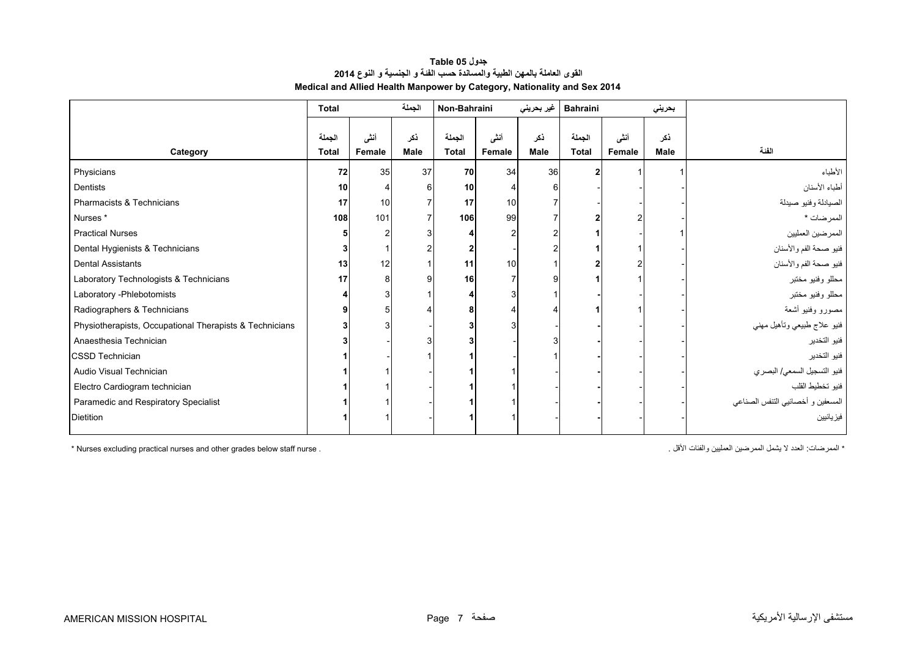| جدول Table 05                                                            |  |  |  |  |  |  |  |  |
|--------------------------------------------------------------------------|--|--|--|--|--|--|--|--|
| القوى العاملة بالمهن الطبية والمساندة حسب الفئة و الجنسية و النوع 2014   |  |  |  |  |  |  |  |  |
| Medical and Allied Health Manpower by Category, Nationality and Sex 2014 |  |  |  |  |  |  |  |  |

<span id="page-5-0"></span>

|                                                         | <b>Total</b>           |                | الجملة             | Non-Bahraini           |                | غير بحريني  | <b>Bahraini</b>        |                | بحريني             |                                   |
|---------------------------------------------------------|------------------------|----------------|--------------------|------------------------|----------------|-------------|------------------------|----------------|--------------------|-----------------------------------|
| Category                                                | الجملة<br><b>Total</b> | أنشى<br>Female | ذكر<br><b>Male</b> | الجملة<br><b>Total</b> | أنشى<br>Female | ذكر<br>Male | الجملة<br><b>Total</b> | أنشى<br>Female | ذكر<br><b>Male</b> | الفنة                             |
| Physicians                                              | 72                     | 35             | 37                 | 70                     | 34             | 36          |                        |                |                    | الأطباء                           |
| Dentists                                                | 10                     |                | 6                  | 10                     |                |             |                        |                |                    | أطباء الأسنان                     |
| Pharmacists & Technicians                               | 17                     | 10             |                    | 17                     | 10             |             |                        |                |                    | الصيادلة وفنيو صيدلة              |
| Nurses <sup>*</sup>                                     | 108                    | 101            |                    | 106                    | 99             |             |                        |                |                    | الممرضات *                        |
| <b>Practical Nurses</b>                                 |                        |                |                    |                        |                |             |                        |                |                    | الممرضين العمليين                 |
| Dental Hygienists & Technicians                         |                        |                |                    |                        |                |             |                        |                |                    | فنيو صحة الفم والأسنان            |
| <b>Dental Assistants</b>                                | 13                     | 12             |                    | 11                     | 10             |             |                        |                |                    | فنيو صحة الفم والأسنان            |
| Laboratory Technologists & Technicians                  | 17                     | 8              | g                  | 16                     |                |             |                        |                |                    | محللو وفنيو مختبر                 |
| Laboratory - Phlebotomists                              |                        |                |                    |                        |                |             |                        |                |                    | محللو وفنيو مختبر                 |
| Radiographers & Technicians                             |                        |                |                    |                        |                |             |                        |                |                    | مصورو وفنيو أشعة                  |
| Physiotherapists, Occupational Therapists & Technicians |                        |                |                    |                        |                |             |                        |                |                    | فنيو علاج طبيعي ونأهيل مهني       |
| Anaesthesia Technician                                  |                        |                |                    |                        |                |             |                        |                |                    | فنيو التخدير                      |
| <b>CSSD Technician</b>                                  |                        |                |                    |                        |                |             |                        |                |                    | فنيو التخدير                      |
| Audio Visual Technician                                 |                        |                |                    |                        |                |             |                        |                |                    | فنيو التسجيل السمعي/ البصري       |
| Electro Cardiogram technician                           |                        |                |                    |                        |                |             |                        |                |                    | فنيو تخطيط القلب                  |
| Paramedic and Respiratory Specialist                    |                        |                |                    |                        |                |             |                        |                |                    | المسعفين و أخصائيي النتفس الصناعي |
| <b>Dietition</b>                                        |                        |                |                    |                        |                |             |                        |                |                    | فيز يائيين                        |

\* الممرضات: الحدد لا يشمل الممرضين العمليين والفئات الأقل . . `` المعمليين المعليين الممرضين الممليين والفئات الأقل ا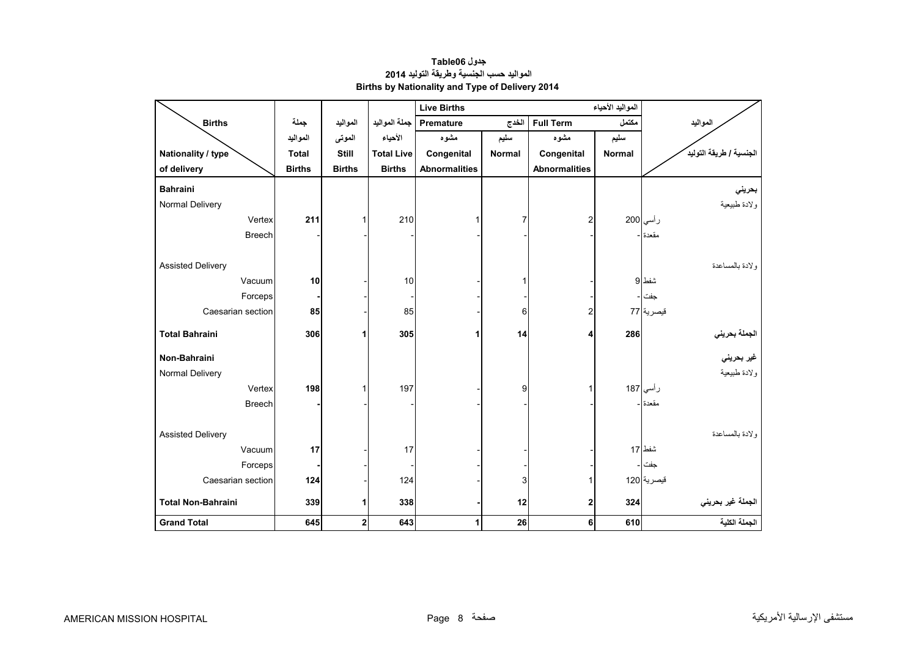<span id="page-6-0"></span>

|                           |               |               |                   | <b>Live Births</b>   |                             | المواليد الأحياء     |        |                         |
|---------------------------|---------------|---------------|-------------------|----------------------|-----------------------------|----------------------|--------|-------------------------|
| <b>Births</b>             | جملة          | المواليد      | جملة المواليد     | <b>Premature</b>     | الخدج                       | <b>Full Term</b>     | مكتمل  | المواليد                |
|                           | المواليد      | الموتى        | الأحياء           | مشوه                 | سليم                        | مشوه                 | سليم   |                         |
| Nationality / type        | <b>Total</b>  | Still         | <b>Total Live</b> | Congenital           | <b>Normal</b><br>Congenital |                      | Normal | الجنسية / طريقة التوليد |
| of delivery               | <b>Births</b> | <b>Births</b> | <b>Births</b>     | <b>Abnormalities</b> |                             | <b>Abnormalities</b> |        |                         |
| <b>Bahraini</b>           |               |               |                   |                      |                             |                      |        | بحريني                  |
| Normal Delivery           |               |               |                   |                      |                             |                      |        | ولادة طبيعية            |
| Vertex                    | 211           | 1             | 210               |                      |                             | 2                    |        | رأسي 200                |
| <b>Breech</b>             |               |               |                   |                      |                             |                      |        | مقعدة -                 |
|                           |               |               |                   |                      |                             |                      |        |                         |
| <b>Assisted Delivery</b>  |               |               |                   |                      |                             |                      |        | ولادة بالمساعدة         |
| Vacuum                    | 10            |               | 10                |                      |                             |                      |        | شفط 9                   |
| Forceps                   |               |               |                   |                      |                             |                      |        | جفت                     |
| Caesarian section         | 85            |               | 85                |                      | 6                           | 2                    |        | قبصرية 77               |
| <b>Total Bahraini</b>     | 306           | 1             | 305               | 1                    | 14                          | 4                    | 286    |                         |
|                           |               |               |                   |                      |                             |                      |        | الجملة بحرين <i>ي</i>   |
| Non-Bahraini              |               |               |                   |                      |                             |                      |        | غير بحرين <i>ي</i>      |
| Normal Delivery           |               |               |                   |                      |                             |                      |        | ولادة طبيعية            |
| Vertex                    | 198           | 1             | 197               |                      | 9                           |                      |        | رأسي 187                |
| <b>Breech</b>             |               |               |                   |                      |                             |                      |        | مقعدة ا-                |
|                           |               |               |                   |                      |                             |                      |        |                         |
| <b>Assisted Delivery</b>  |               |               |                   |                      |                             |                      |        | و لادة بالمساعدة        |
| Vacuum                    | 17            |               | 17                |                      |                             |                      |        | شفط 17                  |
| Forceps                   |               |               |                   |                      |                             |                      |        | جفت                     |
| Caesarian section         | 124           |               | 124               |                      | 3                           |                      |        | قبصرية 120              |
| <b>Total Non-Bahraini</b> | 339           | 1             | 338               |                      | 12                          | 2                    | 324    | الجملة غير بحريني       |
| <b>Grand Total</b>        | 645           | $\mathbf 2$   | 643               | 1                    | 26                          | 6                    | 610    | الجملة الكلية           |

**جدول 06Table المواليد حسب الجنسية وطريقة التوليد <sup>2014</sup> Births by Nationality and Type of Delivery 2014**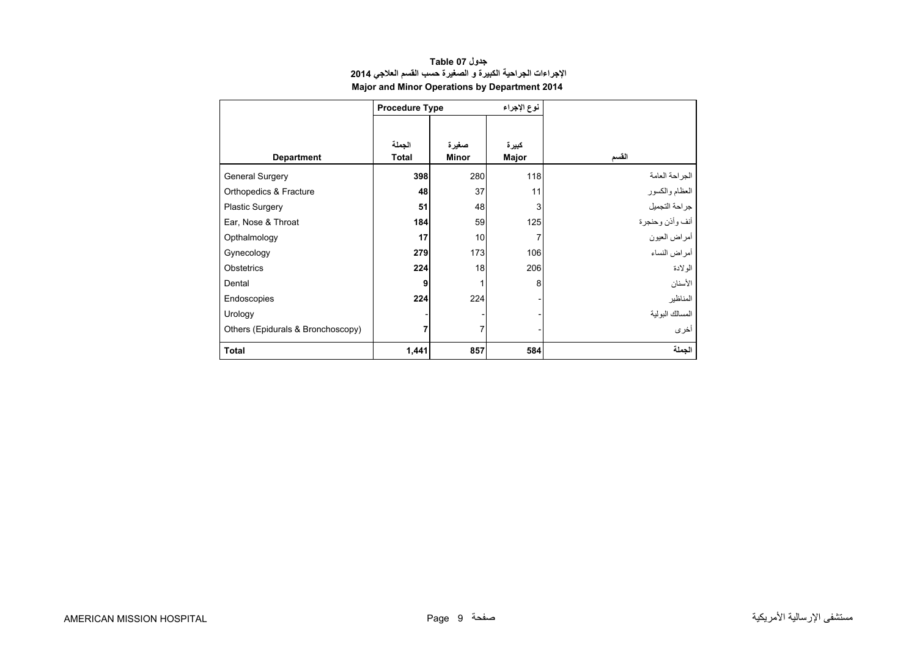<span id="page-7-0"></span>

|                                   | <b>Procedure Type</b>  |                       | نوع الإجراء    |                 |
|-----------------------------------|------------------------|-----------------------|----------------|-----------------|
| <b>Department</b>                 | الجملة<br><b>Total</b> | صغيرة<br><b>Minor</b> | كبيرة<br>Major | القسم           |
| General Surgery                   | 398                    | 280                   | 118            | الجراحة العامة  |
| Orthopedics & Fracture            | 48                     | 37                    | 11             | العظام والكسور  |
| <b>Plastic Surgery</b>            | 51                     | 48                    | 3              | جراحة التجميل   |
| Ear, Nose & Throat                | 184                    | 59                    | 125            | أنف وأذن وحنجرة |
| Opthalmology                      | 17                     | 10                    | 7              | أمراض العيون    |
| Gynecology                        | 279                    | 173                   | 106            | أمراض النساء    |
| Obstetrics                        | 224                    | 18                    | 206            | الولادة         |
| Dental                            | 9                      |                       | 8              | الأسنان         |
| Endoscopies                       | 224                    | 224                   |                | المناظير        |
| Urology                           |                        |                       |                | المسالك البولية |
| Others (Epidurals & Bronchoscopy) | 7                      | 7                     |                | أخرى            |
| <b>Total</b>                      | 1,441                  | 857                   | 584            | الجملة          |

## **جدول 07 Table اإلجراءات الجراحية الكبيرة <sup>و</sup> الصغيرة حسب القسم العالجي <sup>2014</sup> Major and Minor Operations by Department 2014**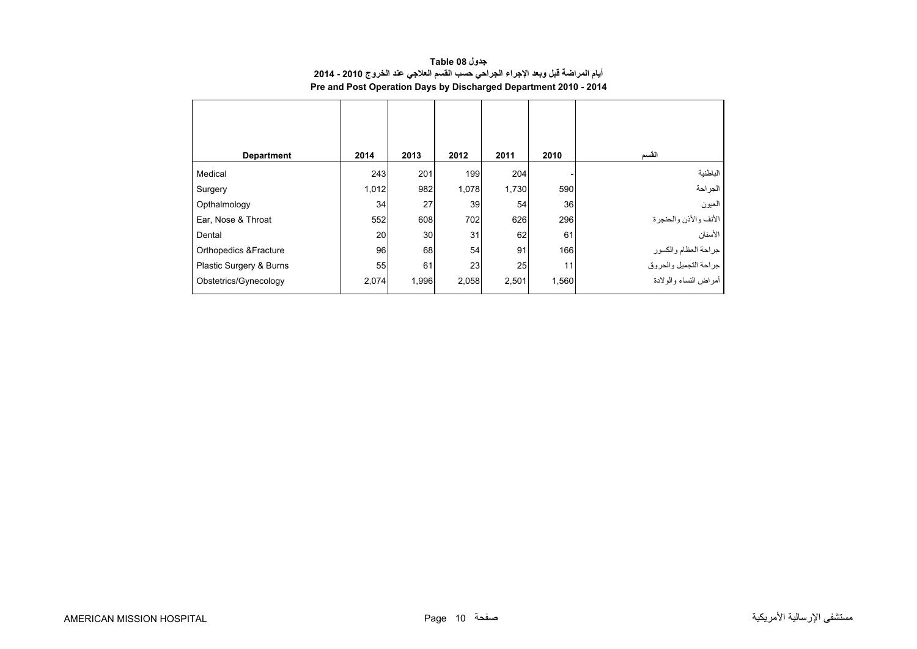<span id="page-8-0"></span>

| <b>Department</b>                 | 2014  | 2013  | 2012  | 2011  | 2010  | القسم                                         |
|-----------------------------------|-------|-------|-------|-------|-------|-----------------------------------------------|
| Medical                           | 243   | 201   | 199   | 204   |       | الباطنية                                      |
| Surgery                           | 1,012 | 982   | 1,078 | 1,730 | 590   | الجراحة                                       |
| Opthalmology                      | 34    | 27    | 39    | 54    | 36    | العيون                                        |
| Ear, Nose & Throat                | 552   | 608   | 702   | 626   | 296   | الأنف والأذن والحنجرة                         |
| Dental                            | 20    | 30    | 31    | 62    | 61    | الأسنان                                       |
| <b>Orthopedics &amp; Fracture</b> | 96    | 68    | 54    | 91    | 166   |                                               |
| Plastic Surgery & Burns           | 55    | 61    | 23    | 25    | 11    | جراحة العظام والكسور<br>جراحة التجميل والحروق |
| Obstetrics/Gynecology             | 2,074 | 1,996 | 2,058 | 2,501 | 1,560 | أمراض النساء والولادة                         |

**جدول 08 Table أيام المراضة قبل وبعد اإلجراء الجراحي حسب القسم العالجي عند الخروج 2010 - 2014 Pre and Post Operation Days by Discharged Department 2010 - 2014**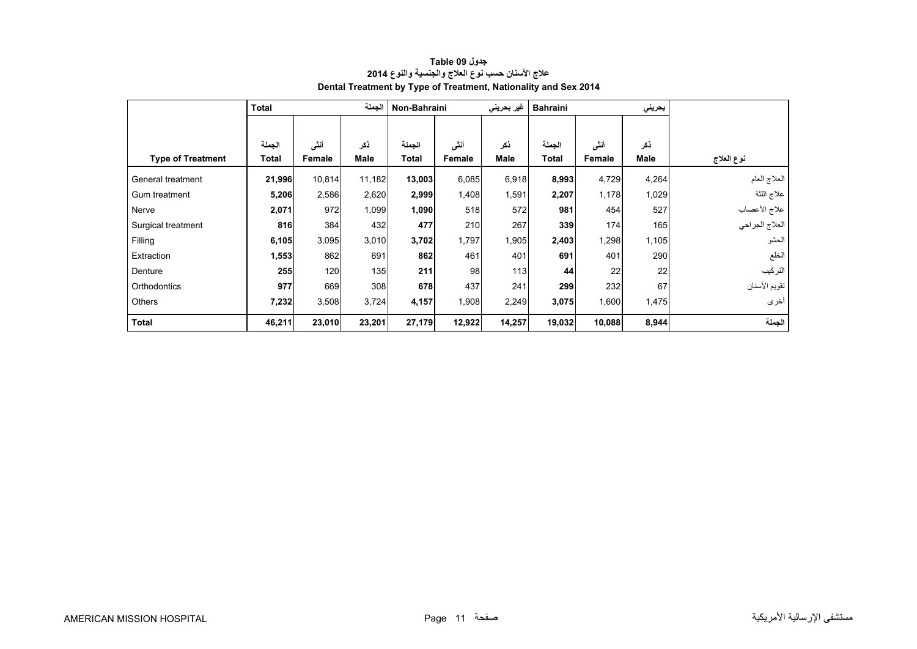<span id="page-9-0"></span>

|                          | الجملة<br><b>Total</b> |        |        | Non-Bahraini<br>غير بحريني |        |             | <b>Bahraini</b> |        | بحريني      |                |
|--------------------------|------------------------|--------|--------|----------------------------|--------|-------------|-----------------|--------|-------------|----------------|
|                          |                        |        |        |                            |        |             |                 |        |             |                |
|                          | الجملة                 | أنشى   | ذكر    | الجملة                     | أنشى   | ذكر         | الجملة          | أننى   | نكر         |                |
| <b>Type of Treatment</b> | Total                  | Female | Male   | Total                      | Female | <b>Male</b> | <b>Total</b>    | Female | <b>Male</b> | نوع العلاج     |
| General treatment        | 21,996                 | 10,814 | 11,182 | 13,003                     | 6,085  | 6,918       | 8,993           | 4,729  | 4,264       | العلاج العام   |
| Gum treatment            | 5,206                  | 2,586  | 2,620  | 2,999                      | 1,408  | 1,591       | 2,207           | 1,178  | 1,029       | علاج اللثة     |
| Nerve                    | 2,071                  | 972    | 1,099  | 1,090                      | 518    | 572         | 981             | 454    | 527         | علاج الأعصاب   |
| Surgical treatment       | 816                    | 384    | 432    | 477                        | 210    | 267         | 339             | 174    | 165         | العلاج الجراحي |
| Filling                  | 6,105                  | 3,095  | 3,010  | 3,702                      | 1,797  | 1,905       | 2,403           | 1,298  | 1,105       | الحشو          |
| Extraction               | 1,553                  | 862    | 691    | 862                        | 461    | 401         | 691             | 401    | 290         | الخلع          |
| Denture                  | 255                    | 120    | 135    | 211                        | 98     | 113         | 44              | 22     | 22          | التركيب        |
| Orthodontics             | 977                    | 669    | 308    | 678                        | 437    | 241         | 299             | 232    | 67          | تقويم الأسنان  |
| Others                   | 7,232                  | 3,508  | 3,724  | 4,157                      | 1,908  | 2,249       | 3,075           | 1,600  | 1,475       | أخرى           |
| Total                    | 46,211                 | 23,010 | 23,201 | 27,179                     | 12,922 | 14,257      | 19,032          | 10,088 | 8,944       | الجملة         |

# **جدول 09 Table عالج األسنان حسب نوع العالج والجنسية والنوع <sup>2014</sup> Dental Treatment by Type of Treatment, Nationality and Sex 2014**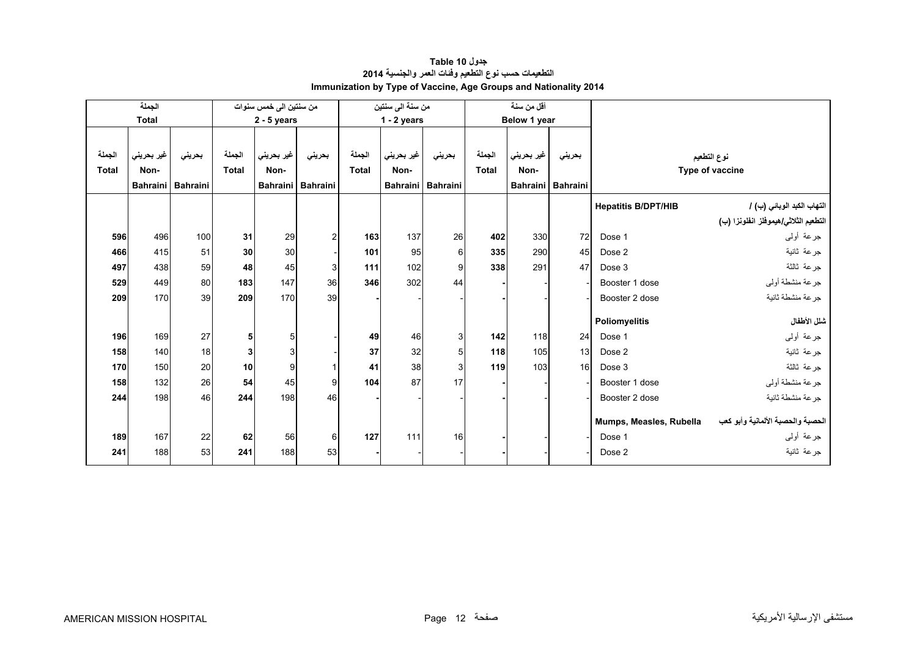<span id="page-10-0"></span>

|              | الجملة<br>من سنتين الى خمس سنوات |                 |                 |               |                   | من سنة الى سنتين |               |                   | أقل من سنة   |              |                   |                            |                                      |
|--------------|----------------------------------|-----------------|-----------------|---------------|-------------------|------------------|---------------|-------------------|--------------|--------------|-------------------|----------------------------|--------------------------------------|
|              | <b>Total</b>                     |                 |                 | $2 - 5$ years |                   |                  | $1 - 2$ years |                   |              | Below 1 year |                   |                            |                                      |
|              |                                  |                 |                 |               |                   |                  |               |                   |              |              |                   |                            |                                      |
| الجملة       | غير بحريني                       | بحريني          | الجملة          | غير بحريني    | بحرينى            | الجملة           | غير بحريني    | بحريني            | الجملة       | غير بحريني   | بحريني            |                            | نوع التطعيم                          |
| <b>Total</b> | Non-                             |                 | <b>Total</b>    | Non-          |                   | <b>Total</b>     | Non-          |                   | <b>Total</b> | Non-         |                   |                            | Type of vaccine                      |
|              | <b>Bahraini</b>                  | <b>Bahraini</b> |                 |               | Bahraini Bahraini |                  |               | Bahraini Bahraini |              |              | Bahraini Bahraini |                            |                                      |
|              |                                  |                 |                 |               |                   |                  |               |                   |              |              |                   | <b>Hepatitis B/DPT/HIB</b> | التهاب الكبد الوبائي (ب) /           |
|              |                                  |                 |                 |               |                   |                  |               |                   |              |              |                   |                            | التطعيم الثلاثي/هيموفلز انفلونزا (ب) |
| 596          | 496                              | 100             | 31              | 29            | 2                 | 163              | 137           | 26                | 402          | 330          | 72                | Dose 1                     | جرعة أولىي                           |
| 466          | 415                              | 51              | 30              | 30            |                   | 101              | 95            | 6                 | 335          | 290          | 45                | Dose 2                     | جرعة ثانية                           |
| 497          | 438                              | 59              | 48              | 45            | 3                 | 111              | 102           | 9                 | 338          | 291          | 47                | Dose 3                     | جرعة ثالثة                           |
| 529          | 449                              | 80              | 183             | 147           | 36                | 346              | 302           | 44                |              |              |                   | Booster 1 dose             | جرعة منشطة أولي                      |
| 209          | 170                              | 39              | 209             | 170           | 39                |                  |               |                   |              |              |                   | Booster 2 dose             | جر عة منشطة ثانبة                    |
|              |                                  |                 |                 |               |                   |                  |               |                   |              |              |                   |                            |                                      |
|              |                                  |                 |                 |               |                   |                  |               |                   |              |              |                   | Poliomyelitis              | شلل الأطفال                          |
| 196          | 169                              | 27              | 5 <sub>l</sub>  | 5             |                   | 49               | 46            | 3                 | 142          | 118          | 24                | Dose 1                     | جرعة أولىي                           |
| 158          | 140                              | 18              | 3 <sup>1</sup>  | 3             |                   | 37               | 32            | 5                 | 118          | 105          | 13 <sup>1</sup>   | Dose 2                     | جرعة ثانية                           |
| 170          | 150                              | 20              | 10 <sup>1</sup> | 9             |                   | 41               | 38            | 3                 | 119          | 103          | 16                | Dose 3                     | جر عة ثالثة                          |
| 158          | 132                              | 26              | 54              | 45            | 9                 | 104              | 87            | 17                |              |              |                   | Booster 1 dose             | جرعة منشطة أوليي                     |
| 244          | 198                              | 46              | 244             | 198           | 46                |                  |               |                   |              |              |                   | Booster 2 dose             | جر عة منشطة ثانبة                    |
|              |                                  |                 |                 |               |                   |                  |               |                   |              |              |                   |                            |                                      |
|              |                                  |                 |                 |               |                   |                  |               |                   |              |              |                   | Mumps, Measles, Rubella    | الحصبة والحصبة الألمانية وأبو كعب    |
| 189          | 167                              | 22              | 62              | 56            | 6                 | 127              | 111           | 16                |              |              |                   | Dose 1                     | جرعة أولىي                           |
| 241          | 188                              | 53              | 241             | 188           | 53                |                  |               |                   |              |              |                   | Dose 2                     | جر عة ثانية                          |

# **جدول 10 Table التطعيمات حسب نوع التطعيم وفئات العمر والجنسية <sup>2014</sup> Immunization by Type of Vaccine, Age Groups and Nationality 2014**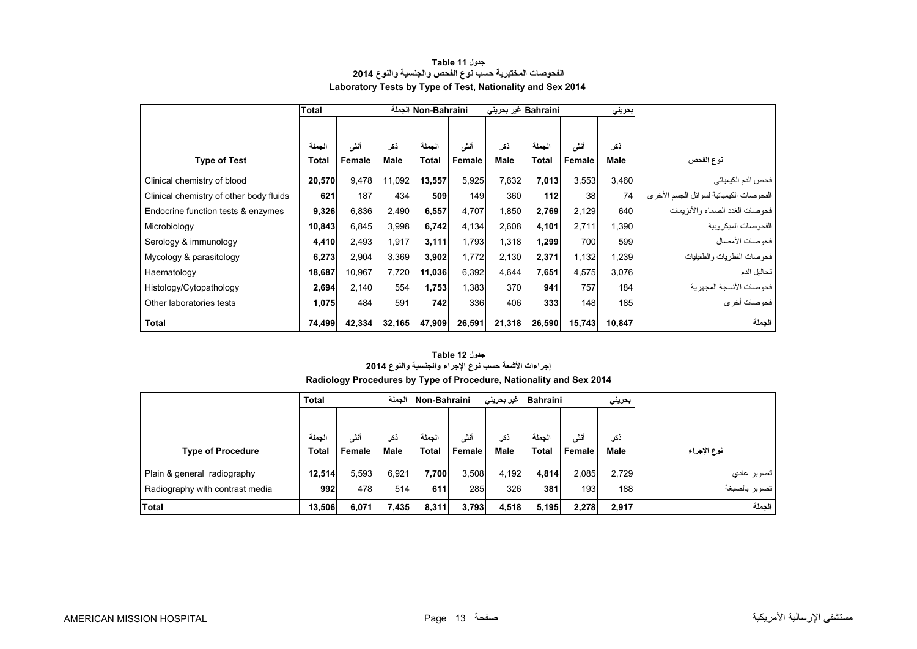<span id="page-11-0"></span>

|                                         | <b>Total</b> |        |        | Non-Bahraini الجملة |        | Bahraini غير بحريني |        |        | بحريني |                                         |
|-----------------------------------------|--------------|--------|--------|---------------------|--------|---------------------|--------|--------|--------|-----------------------------------------|
|                                         |              |        |        |                     |        |                     |        |        |        |                                         |
|                                         | الجملة       | أنشى   | ذكر    | الجملة              | أنشى   | ذكر                 | الجملة | أنشى   | ذكر    |                                         |
| <b>Type of Test</b>                     | <b>Total</b> | Female | Male   | Total               | Female | Male                | Total  | Female | Male   | نوع الفحص                               |
| Clinical chemistry of blood             | 20,570       | 9,478  | 11,092 | 13,557              | 5,925  | 7,632               | 7,013  | 3,553  | 3,460  | فحص الدم الكيميائي                      |
| Clinical chemistry of other body fluids | 621          | 187    | 434    | 509                 | 149    | 360                 | 112    | 38     | 74     | الفحوصات الكيميائية لسوائل الجسم الأخرى |
| Endocrine function tests & enzymes      | 9,326        | 6,836  | 2,490  | 6,557               | 4,707  | 1,850               | 2,769  | 2,129  | 640    | فحوصات الغدد الصماء والأنزيمات          |
| Microbiology                            | 10,843       | 6,845  | 3,998  | 6,742               | 4,134  | 2,608               | 4,101  | 2,711  | 1,390  | الفحو صبات الميكر وبية                  |
| Serology & immunology                   | 4,410        | 2,493  | 1,917  | 3,111               | 1,793  | 1,318               | 1,299  | 700    | 599    | فحو صبات الأمصيال                       |
| Mycology & parasitology                 | 6,273        | 2,904  | 3,369  | 3,902               | 1,772  | 2,130               | 2,371  | 1,132  | 1,239  | فحوصات الفطريات والطفيليات              |
| Haematology                             | 18,687       | 10,967 | 7,720  | 11,036              | 6,392  | 4,644               | 7,651  | 4,575  | 3,076  | تحاليل الدم                             |
| Histology/Cytopathology                 | 2,694        | 2,140  | 554    | 1,753               | 1,383  | 370                 | 941    | 757    | 184    | فحو صبات الأنسجة المجهر ية              |
| Other laboratories tests                | 1,075        | 484    | 591    | 742                 | 336    | 406                 | 333    | 148    | 185    | فحوصات أخرى                             |
| <b>Total</b>                            | 74,499       | 42,334 | 32,165 | 47,909              | 26,591 | 21,318              | 26,590 | 15,743 | 10,847 | الجملة                                  |

### **جدول 11 Table الفحوصات المختبرية حسب نوع الفحص والجنسية والنوع <sup>2014</sup> Laboratory Tests by Type of Test, Nationality and Sex 2014**

# **Radiology Procedures by Type of Procedure, Nationality and Sex 2014 جدول 12 Table إجراءات األشعة حسب نوع اإلجراء والجنسية والنوع <sup>2014</sup>**

|                                 | <b>Total</b> |        | الحملة      |              | Non-Bahraini<br>غیر بحرینی |             | <b>Bahraini</b> |        | بحريني      |               |
|---------------------------------|--------------|--------|-------------|--------------|----------------------------|-------------|-----------------|--------|-------------|---------------|
|                                 |              |        |             |              |                            |             |                 |        |             |               |
|                                 | لحملة        | أنشى   | ذكر         | الحملة       | أننى                       | نكر         | الحملة          | أنشى   | نكر         |               |
| <b>Type of Procedure</b>        | Total        | Female | <b>Male</b> | <b>Total</b> | Female                     | <b>Male</b> | <b>Total</b>    | Female | <b>Male</b> | نوع الإجراء   |
| Plain & general radiography     | 12,514       | 5,593  | 6.921       | 7.700        | 3,508                      | 4.192       | 4.814           | 2.085  | 2.729       | تصوير عادي    |
| Radiography with contrast media | 992          | 478    | 514         | 611          | 285                        | 326         | 381             | 193    | 188         | تصوير بالصبغة |
| Total                           | 13,506       | 6,071  | 7,435       | 8,311        | 3,793                      | 4,518       | 5,195           | 2,278  | 2,917       | الجملة        |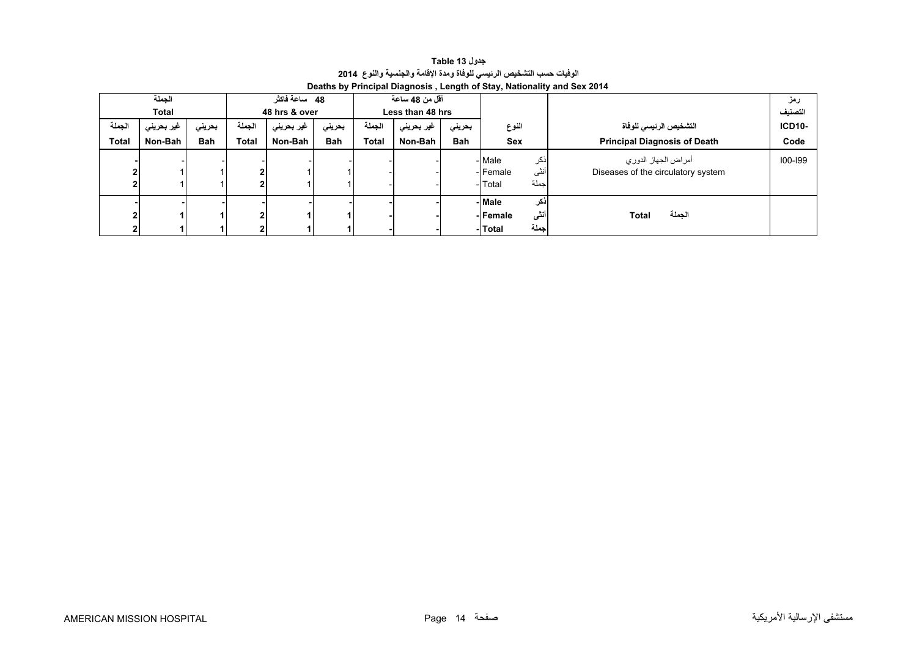**جدول 13 Table الوفيات حسب التشخيص الرئيسي للوفاة ومدة اإلقامة والجنسية والنوع<sup>2014</sup> Deaths by Principal Diagnosis , Length of Stay, Nationality and Sex 2014** 

<span id="page-12-0"></span>

| 48 ساعة فاكثر<br>أقل من 48 ساعة |            |            |              |               |            |              |                  |            |                  |                                     |               |
|---------------------------------|------------|------------|--------------|---------------|------------|--------------|------------------|------------|------------------|-------------------------------------|---------------|
| الجملة                          |            |            |              |               |            |              |                  |            |                  |                                     | رمز           |
| <b>Total</b>                    |            |            |              | 48 hrs & over |            |              | Less than 48 hrs |            |                  |                                     | التصنيف       |
| الجملة                          | غير بحريني | بحرينى     | الجملة       | غير بحريني    | بحريني     | الحملة       | غير بحريني       | بحريني     | النوع            | التشخيص الرئيسي للوفاة              | <b>ICD10-</b> |
| <b>Total</b>                    | Non-Bah    | <b>Bah</b> | <b>Total</b> | Non-Bah       | <b>Bah</b> | <b>Total</b> | Non-Bah          | <b>Bah</b> | Sex              | <b>Principal Diagnosis of Death</b> | Code          |
|                                 |            |            |              |               |            |              |                  |            | - Male<br>انكر   | أمراض الجهاز الدوري                 | $100 - 199$   |
|                                 |            |            |              |               |            |              |                  |            | أنثى<br>-Female  | Diseases of the circulatory system  |               |
|                                 |            |            |              |               |            |              |                  |            | جملة<br>- Total  |                                     |               |
|                                 |            |            |              |               |            |              |                  |            | -Male<br>اذكر    |                                     |               |
|                                 |            |            | ໍ            |               |            |              |                  |            | أنشى<br>- Female | الجملة<br>Total                     |               |
|                                 |            |            |              |               |            |              |                  |            | جملة<br>-Total   |                                     |               |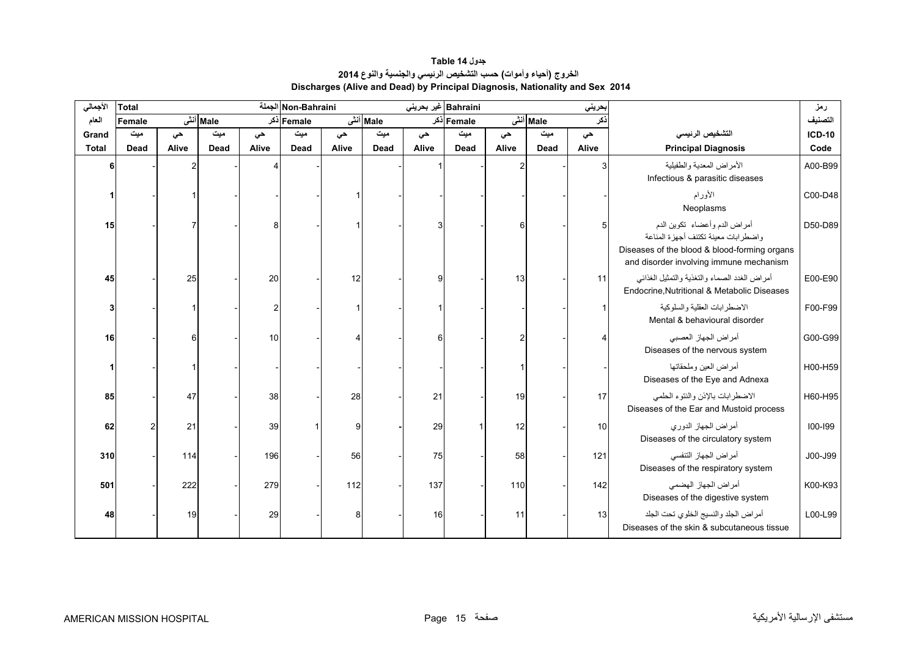**جدول 14 Table الخروج (أحياء وأموات) حسب التشخيص الرئيسي والجنسية والنوع <sup>2014</sup> Discharges (Alive and Dead) by Principal Diagnosis, Nationality and Sex 2014** 

<span id="page-13-0"></span>

| الأجمالي     | <b>Total</b> |       |          |       | Non-Bahraini الجملة |       |          | Bahraini غیر بحرینی |            |       |          | حريني |                                                                                                                                                                  | رمز           |
|--------------|--------------|-------|----------|-------|---------------------|-------|----------|---------------------|------------|-------|----------|-------|------------------------------------------------------------------------------------------------------------------------------------------------------------------|---------------|
| العام        | Female       |       | Male أنش |       | Female دکر          |       | Male أنش |                     | Female دکر |       | Male أنش | :کر   |                                                                                                                                                                  | التصنيف       |
| Grand        | میت          | حي    | میت      | حى    | میت                 | حي    | میت      | حى                  | میت        | حي    | میت      | حي    | التشخيص الرئيسي                                                                                                                                                  | <b>ICD-10</b> |
| <b>Total</b> | Dead         | Alive | Dead     | Alive | Dead                | Alive | Dead     | Alive               | Dead       | Alive | Dead     | Alive | <b>Principal Diagnosis</b>                                                                                                                                       | Code          |
| 6            |              | 2     |          |       |                     |       |          |                     |            |       |          |       | الأمراض المعدية والطفيلية<br>Infectious & parasitic diseases                                                                                                     | A00-B99       |
|              |              |       |          |       |                     |       |          |                     |            |       |          |       | الأورام<br>Neoplasms                                                                                                                                             | C00-D48       |
| 15           |              |       |          |       |                     |       |          |                     |            | ĥ     |          |       | أمراض الدم وأعضاء تكوين الدم<br>واضطر ابات معينة تكتنف أجهز ة المناعة<br>Diseases of the blood & blood-forming organs<br>and disorder involving immune mechanism | D50-D89       |
| 45           |              | 25    |          | 20    |                     | 12    |          | a                   |            | 13    |          | 11    | أمراض الغدد الصماء والتغذية والتمثيل الغذائبي<br>Endocrine.Nutritional & Metabolic Diseases                                                                      | E00-E90       |
| 3            |              |       |          | 2     |                     |       |          |                     |            |       |          |       | الاضطر ابات العقلبة والسلوكبة<br>Mental & behavioural disorder                                                                                                   | F00-F99       |
| 16           |              | 6     |          | 10    |                     |       |          | ĥ                   |            | 2     |          |       | أمراض الجهاز العصبي<br>Diseases of the nervous system                                                                                                            | G00-G99       |
|              |              |       |          |       |                     |       |          |                     |            |       |          |       | أمراض العين وملحقاتها<br>Diseases of the Eye and Adnexa                                                                                                          | H00-H59       |
| 85           |              | 47    |          | 38    |                     | 28    |          | 21                  |            | 19    |          | 17    | الاضطرابات بالإذن والنتوء الحلمى<br>Diseases of the Ear and Mustoid process                                                                                      | H60-H95       |
| 62           |              | 21    |          | 39    |                     | 9     |          | 29                  |            | 12    |          | 10    | أمراض الجهاز الدوري<br>Diseases of the circulatory system                                                                                                        | $100 - 199$   |
| 310          |              | 114   |          | 196   |                     | 56    |          | 75                  |            | 58    |          | 121   | أمراض الجهاز التنفسي<br>Diseases of the respiratory system                                                                                                       | J00-J99       |
| 501          |              | 222   |          | 279   |                     | 112   |          | 137                 |            | 110   |          | 142   | أمراض الجهاز الهضمى<br>Diseases of the digestive system                                                                                                          | K00-K93       |
| 48           |              | 19    |          | 29    |                     | Я     |          | 16                  |            | 11    |          | 13    | أمراض الجلد والنسيج الخلوى تحت الجلد<br>Diseases of the skin & subcutaneous tissue                                                                               | L00-L99       |